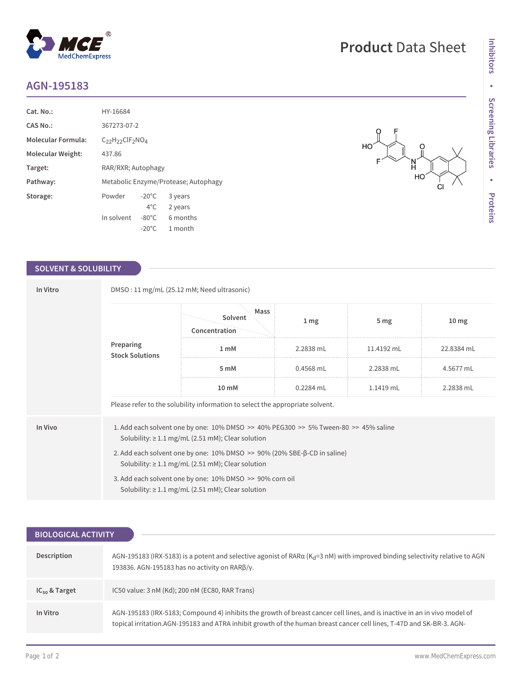## **AGN-195183**

| Cat. No.:                 | HY-16684                             |                 |          |
|---------------------------|--------------------------------------|-----------------|----------|
| CAS No.:                  | 367273-07-2                          |                 |          |
| <b>Molecular Formula:</b> | $C_{22}H_{22}CIF_{2}NO4$             |                 |          |
| Molecular Weight:         | 437.86                               |                 |          |
| Target:                   | RAR/RXR; Autophagy                   |                 |          |
| Pathway:                  | Metabolic Enzyme/Protease; Autophagy |                 |          |
| Storage:                  | Powder                               | $-20^{\circ}$ C | 3 years  |
|                           |                                      | $4^{\circ}$ C   | 2 years  |
|                           | In solvent                           | $-80^{\circ}$ C | 6 months |
|                           |                                      | $-20^{\circ}$ C | 1 month  |

 $^{\circledR}$ 

MedChemExpress

### **SOLVENT & SOLUBILITY**

| In Vitro                            | DMSO: 11 mg/mL (25.12 mM; Need ultrasonic)                                                                                                                |                                                                               |                 |                 |                  |  |  |
|-------------------------------------|-----------------------------------------------------------------------------------------------------------------------------------------------------------|-------------------------------------------------------------------------------|-----------------|-----------------|------------------|--|--|
| Preparing<br><b>Stock Solutions</b> |                                                                                                                                                           | Mass<br>Solvent<br>Concentration                                              | 1 <sub>mg</sub> | 5 <sub>mg</sub> | 10 <sub>mg</sub> |  |  |
|                                     |                                                                                                                                                           | 1 <sub>m</sub> M                                                              | 2.2838 mL       | 11.4192 mL      | 22.8384 mL       |  |  |
|                                     | 5 mM                                                                                                                                                      | $0.4568$ mL                                                                   | 2.2838 mL       | 4.5677 mL       |                  |  |  |
|                                     | $10 \text{ mM}$                                                                                                                                           | $0.2284$ mL                                                                   | $1.1419$ mL     | 2.2838 mL       |                  |  |  |
|                                     |                                                                                                                                                           | Please refer to the solubility information to select the appropriate solvent. |                 |                 |                  |  |  |
| In Vivo                             | 1. Add each solvent one by one: $10\%$ DMSO $\gg$ 40% PEG300 $\gg$ 5% Tween-80 $\gg$ 45% saline<br>Solubility: $\geq 1.1$ mg/mL (2.51 mM); Clear solution |                                                                               |                 |                 |                  |  |  |
|                                     | 2. Add each solvent one by one: $10\%$ DMSO $\geq$ 90% (20% SBE- $\beta$ -CD in saline)<br>Solubility: $\geq 1.1$ mg/mL (2.51 mM); Clear solution         |                                                                               |                 |                 |                  |  |  |
|                                     | 3. Add each solvent one by one: 10% DMSO >> 90% corn oil<br>Solubility: $\geq 1.1$ mg/mL (2.51 mM); Clear solution                                        |                                                                               |                 |                 |                  |  |  |

| <b>BIOLOGICAL ACTIVITY</b> |                                                                                                                                                                                                                                                   |  |  |  |  |
|----------------------------|---------------------------------------------------------------------------------------------------------------------------------------------------------------------------------------------------------------------------------------------------|--|--|--|--|
|                            |                                                                                                                                                                                                                                                   |  |  |  |  |
| Description                | AGN-195183 (IRX-5183) is a potent and selective agonist of RAR $\alpha$ (K <sub>d</sub> =3 nM) with improved binding selectivity relative to AGN<br>193836. AGN-195183 has no activity on $RAR\beta/\gamma$ .                                     |  |  |  |  |
| $IC_{50}$ & Target         | IC50 value: 3 nM (Kd); 200 nM (EC80, RAR Trans)                                                                                                                                                                                                   |  |  |  |  |
| In Vitro                   | AGN-195183 (IRX-5183; Compound 4) inhibits the growth of breast cancer cell lines, and is inactive in an in vivo model of<br>topical irritation.AGN-195183 and ATRA inhibit growth of the human breast cancer cell lines, T-47D and SK-BR-3. AGN- |  |  |  |  |

# **Product** Data Sheet

 $\frac{0}{\parallel}$ 

ĊI

 $\begin{matrix} 1 \\ 1 \\ 1 \\ 1 \\ 1 \end{matrix}$ 

 $H<sub>O</sub>$